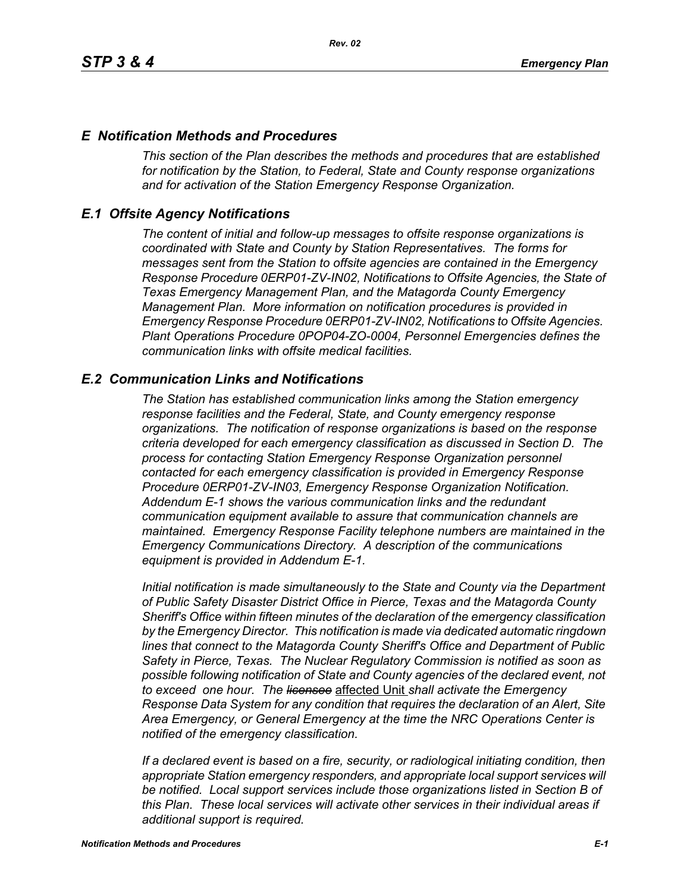## *E Notification Methods and Procedures*

*This section of the Plan describes the methods and procedures that are established for notification by the Station, to Federal, State and County response organizations and for activation of the Station Emergency Response Organization.*

## *E.1 Offsite Agency Notifications*

*The content of initial and follow-up messages to offsite response organizations is coordinated with State and County by Station Representatives. The forms for messages sent from the Station to offsite agencies are contained in the Emergency Response Procedure 0ERP01-ZV-IN02, Notifications to Offsite Agencies, the State of Texas Emergency Management Plan, and the Matagorda County Emergency Management Plan. More information on notification procedures is provided in Emergency Response Procedure 0ERP01-ZV-IN02, Notifications to Offsite Agencies. Plant Operations Procedure 0POP04-ZO-0004, Personnel Emergencies defines the communication links with offsite medical facilities.*

## *E.2 Communication Links and Notifications*

*The Station has established communication links among the Station emergency response facilities and the Federal, State, and County emergency response organizations. The notification of response organizations is based on the response criteria developed for each emergency classification as discussed in Section D. The process for contacting Station Emergency Response Organization personnel contacted for each emergency classification is provided in Emergency Response Procedure 0ERP01-ZV-IN03, Emergency Response Organization Notification. Addendum E-1 shows the various communication links and the redundant communication equipment available to assure that communication channels are maintained. Emergency Response Facility telephone numbers are maintained in the Emergency Communications Directory. A description of the communications equipment is provided in Addendum E-1.*

*Initial notification is made simultaneously to the State and County via the Department of Public Safety Disaster District Office in Pierce, Texas and the Matagorda County Sheriff's Office within fifteen minutes of the declaration of the emergency classification by the Emergency Director. This notification is made via dedicated automatic ringdown lines that connect to the Matagorda County Sheriff's Office and Department of Public Safety in Pierce, Texas. The Nuclear Regulatory Commission is notified as soon as possible following notification of State and County agencies of the declared event, not to exceed one hour. The licensee* affected Unit *shall activate the Emergency Response Data System for any condition that requires the declaration of an Alert, Site Area Emergency, or General Emergency at the time the NRC Operations Center is notified of the emergency classification.*

*If a declared event is based on a fire, security, or radiological initiating condition, then appropriate Station emergency responders, and appropriate local support services will be notified. Local support services include those organizations listed in Section B of this Plan. These local services will activate other services in their individual areas if additional support is required.*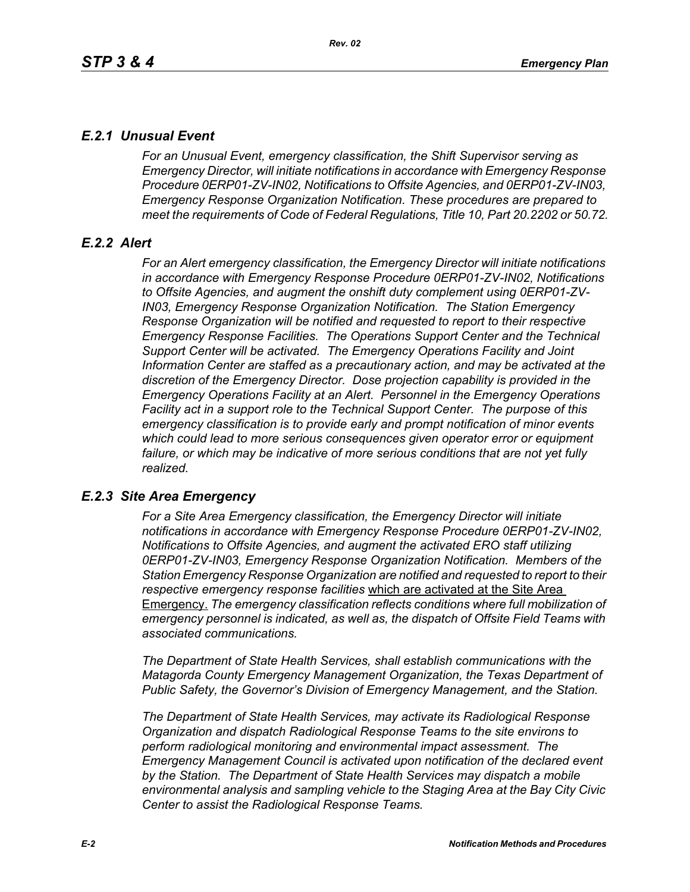# *E.2.1 Unusual Event*

*For an Unusual Event, emergency classification, the Shift Supervisor serving as Emergency Director, will initiate notifications in accordance with Emergency Response Procedure 0ERP01-ZV-IN02, Notifications to Offsite Agencies, and 0ERP01-ZV-IN03, Emergency Response Organization Notification. These procedures are prepared to meet the requirements of Code of Federal Regulations, Title 10, Part 20.2202 or 50.72.*

# *E.2.2 Alert*

*For an Alert emergency classification, the Emergency Director will initiate notifications in accordance with Emergency Response Procedure 0ERP01-ZV-IN02, Notifications to Offsite Agencies, and augment the onshift duty complement using 0ERP01-ZV-IN03, Emergency Response Organization Notification. The Station Emergency Response Organization will be notified and requested to report to their respective Emergency Response Facilities. The Operations Support Center and the Technical Support Center will be activated. The Emergency Operations Facility and Joint Information Center are staffed as a precautionary action, and may be activated at the discretion of the Emergency Director. Dose projection capability is provided in the Emergency Operations Facility at an Alert. Personnel in the Emergency Operations Facility act in a support role to the Technical Support Center. The purpose of this emergency classification is to provide early and prompt notification of minor events which could lead to more serious consequences given operator error or equipment*  failure, or which may be indicative of more serious conditions that are not yet fully *realized.*

# *E.2.3 Site Area Emergency*

*For a Site Area Emergency classification, the Emergency Director will initiate notifications in accordance with Emergency Response Procedure 0ERP01-ZV-IN02, Notifications to Offsite Agencies, and augment the activated ERO staff utilizing 0ERP01-ZV-IN03, Emergency Response Organization Notification. Members of the Station Emergency Response Organization are notified and requested to report to their respective emergency response facilities* which are activated at the Site Area Emergency. *The emergency classification reflects conditions where full mobilization of emergency personnel is indicated, as well as, the dispatch of Offsite Field Teams with associated communications.*

*The Department of State Health Services, shall establish communications with the Matagorda County Emergency Management Organization, the Texas Department of Public Safety, the Governor's Division of Emergency Management, and the Station.* 

*The Department of State Health Services, may activate its Radiological Response Organization and dispatch Radiological Response Teams to the site environs to perform radiological monitoring and environmental impact assessment. The Emergency Management Council is activated upon notification of the declared event by the Station. The Department of State Health Services may dispatch a mobile environmental analysis and sampling vehicle to the Staging Area at the Bay City Civic Center to assist the Radiological Response Teams.*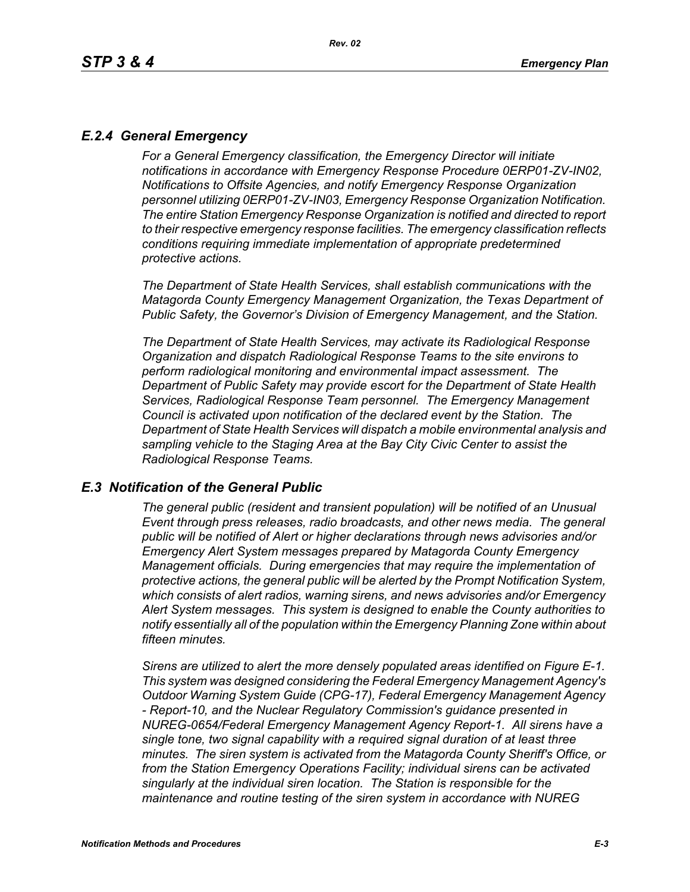# *E.2.4 General Emergency*

*For a General Emergency classification, the Emergency Director will initiate notifications in accordance with Emergency Response Procedure 0ERP01-ZV-IN02, Notifications to Offsite Agencies, and notify Emergency Response Organization personnel utilizing 0ERP01-ZV-IN03, Emergency Response Organization Notification. The entire Station Emergency Response Organization is notified and directed to report to their respective emergency response facilities. The emergency classification reflects conditions requiring immediate implementation of appropriate predetermined protective actions.*

*The Department of State Health Services, shall establish communications with the Matagorda County Emergency Management Organization, the Texas Department of Public Safety, the Governor's Division of Emergency Management, and the Station.*

*The Department of State Health Services, may activate its Radiological Response Organization and dispatch Radiological Response Teams to the site environs to perform radiological monitoring and environmental impact assessment. The Department of Public Safety may provide escort for the Department of State Health Services, Radiological Response Team personnel. The Emergency Management Council is activated upon notification of the declared event by the Station. The Department of State Health Services will dispatch a mobile environmental analysis and sampling vehicle to the Staging Area at the Bay City Civic Center to assist the Radiological Response Teams.*

### *E.3 Notification of the General Public*

*The general public (resident and transient population) will be notified of an Unusual Event through press releases, radio broadcasts, and other news media. The general public will be notified of Alert or higher declarations through news advisories and/or Emergency Alert System messages prepared by Matagorda County Emergency Management officials. During emergencies that may require the implementation of protective actions, the general public will be alerted by the Prompt Notification System, which consists of alert radios, warning sirens, and news advisories and/or Emergency Alert System messages. This system is designed to enable the County authorities to notify essentially all of the population within the Emergency Planning Zone within about fifteen minutes.* 

*Sirens are utilized to alert the more densely populated areas identified on Figure E-1. This system was designed considering the Federal Emergency Management Agency's Outdoor Warning System Guide (CPG-17), Federal Emergency Management Agency - Report-10, and the Nuclear Regulatory Commission's guidance presented in NUREG-0654/Federal Emergency Management Agency Report-1. All sirens have a single tone, two signal capability with a required signal duration of at least three minutes. The siren system is activated from the Matagorda County Sheriff's Office, or from the Station Emergency Operations Facility; individual sirens can be activated singularly at the individual siren location. The Station is responsible for the maintenance and routine testing of the siren system in accordance with NUREG*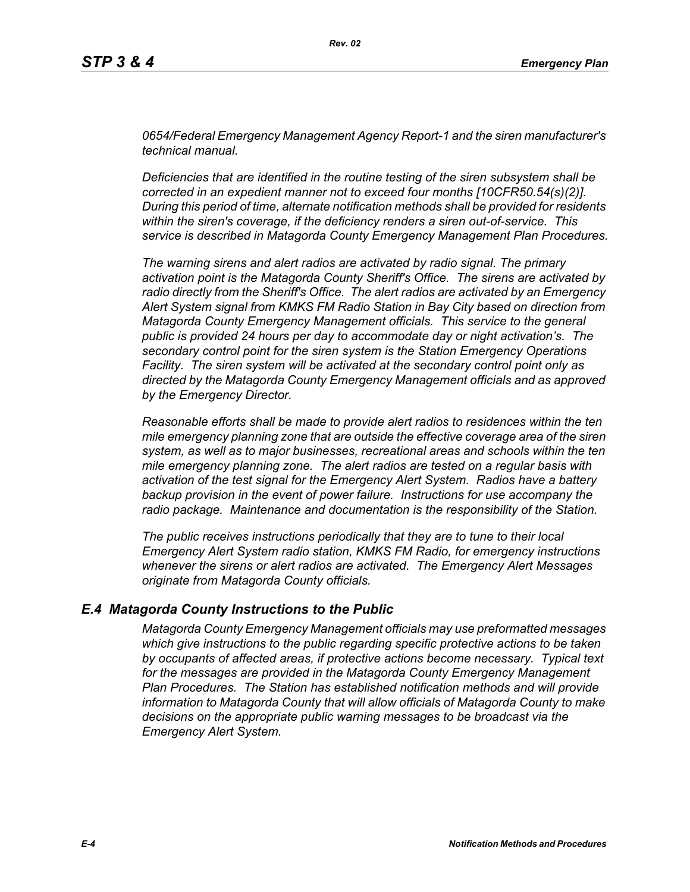*0654/Federal Emergency Management Agency Report-1 and the siren manufacturer's technical manual.* 

*Deficiencies that are identified in the routine testing of the siren subsystem shall be corrected in an expedient manner not to exceed four months [10CFR50.54(s)(2)]. During this period of time, alternate notification methods shall be provided for residents within the siren's coverage, if the deficiency renders a siren out-of-service. This service is described in Matagorda County Emergency Management Plan Procedures.*

*The warning sirens and alert radios are activated by radio signal. The primary activation point is the Matagorda County Sheriff's Office. The sirens are activated by radio directly from the Sheriff's Office. The alert radios are activated by an Emergency Alert System signal from KMKS FM Radio Station in Bay City based on direction from Matagorda County Emergency Management officials. This service to the general public is provided 24 hours per day to accommodate day or night activation's. The secondary control point for the siren system is the Station Emergency Operations Facility. The siren system will be activated at the secondary control point only as directed by the Matagorda County Emergency Management officials and as approved by the Emergency Director.* 

*Reasonable efforts shall be made to provide alert radios to residences within the ten mile emergency planning zone that are outside the effective coverage area of the siren system, as well as to major businesses, recreational areas and schools within the ten mile emergency planning zone. The alert radios are tested on a regular basis with activation of the test signal for the Emergency Alert System. Radios have a battery backup provision in the event of power failure. Instructions for use accompany the radio package. Maintenance and documentation is the responsibility of the Station.* 

*The public receives instructions periodically that they are to tune to their local Emergency Alert System radio station, KMKS FM Radio, for emergency instructions whenever the sirens or alert radios are activated. The Emergency Alert Messages originate from Matagorda County officials.* 

### *E.4 Matagorda County Instructions to the Public*

*Matagorda County Emergency Management officials may use preformatted messages which give instructions to the public regarding specific protective actions to be taken by occupants of affected areas, if protective actions become necessary. Typical text for the messages are provided in the Matagorda County Emergency Management Plan Procedures. The Station has established notification methods and will provide information to Matagorda County that will allow officials of Matagorda County to make decisions on the appropriate public warning messages to be broadcast via the Emergency Alert System.*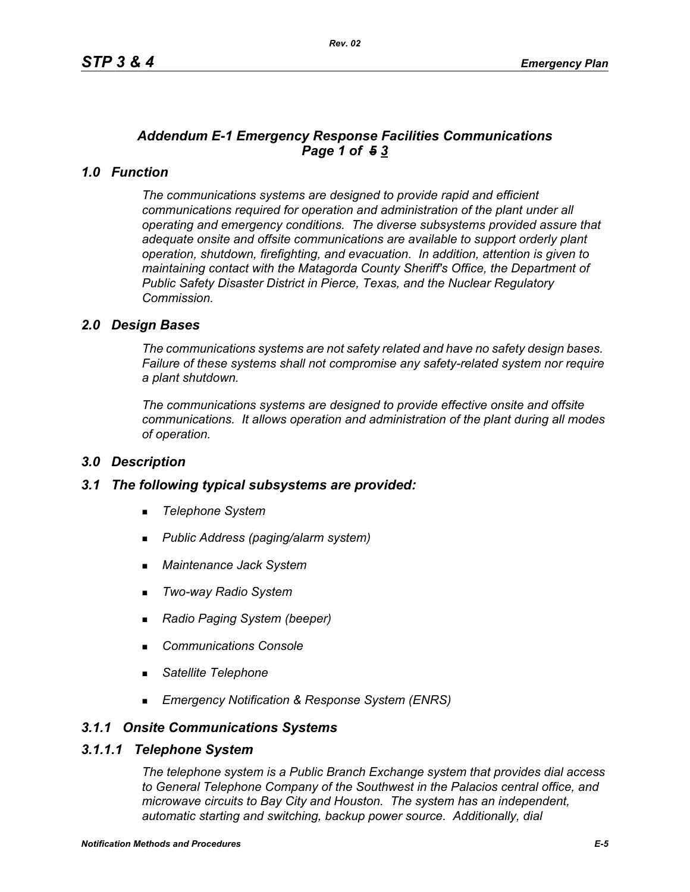# *Addendum E-1 Emergency Response Facilities Communications Page 1 of 5 3*

# *1.0 Function*

*The communications systems are designed to provide rapid and efficient communications required for operation and administration of the plant under all operating and emergency conditions. The diverse subsystems provided assure that adequate onsite and offsite communications are available to support orderly plant operation, shutdown, firefighting, and evacuation. In addition, attention is given to maintaining contact with the Matagorda County Sheriff's Office, the Department of Public Safety Disaster District in Pierce, Texas, and the Nuclear Regulatory Commission.*

## *2.0 Design Bases*

*The communications systems are not safety related and have no safety design bases. Failure of these systems shall not compromise any safety-related system nor require a plant shutdown.*

*The communications systems are designed to provide effective onsite and offsite communications. It allows operation and administration of the plant during all modes of operation.*

### *3.0 Description*

### *3.1 The following typical subsystems are provided:*

- *Telephone System*
- *Public Address (paging/alarm system)*
- *Maintenance Jack System*
- *Two-way Radio System*
- *Radio Paging System (beeper)*
- *Communications Console*
- *Satellite Telephone*
- *Emergency Notification & Response System (ENRS)*

## *3.1.1 Onsite Communications Systems*

#### *3.1.1.1 Telephone System*

*The telephone system is a Public Branch Exchange system that provides dial access to General Telephone Company of the Southwest in the Palacios central office, and microwave circuits to Bay City and Houston. The system has an independent, automatic starting and switching, backup power source. Additionally, dial*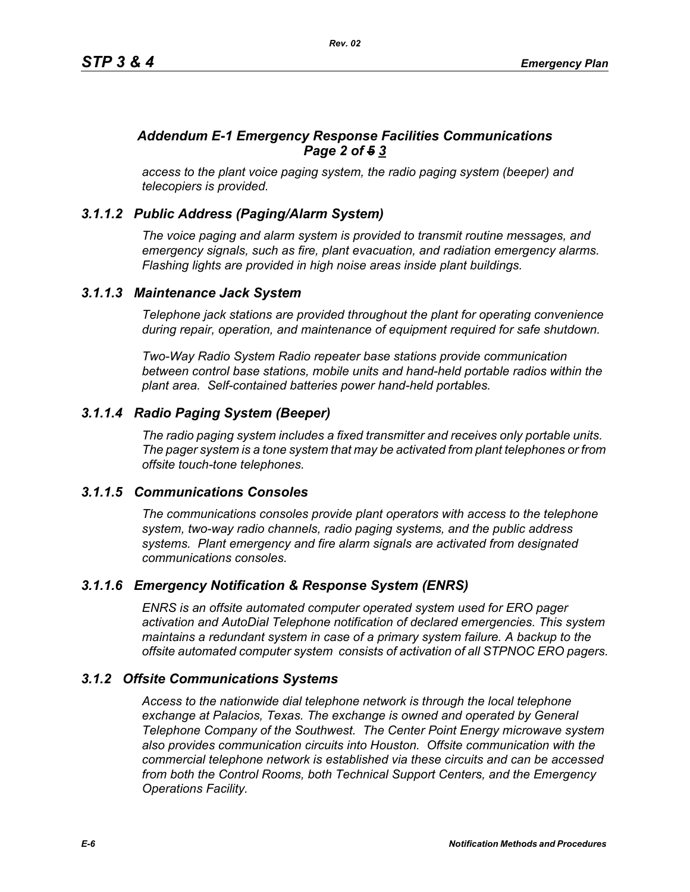# *Addendum E-1 Emergency Response Facilities Communications Page 2 of 5 3*

*access to the plant voice paging system, the radio paging system (beeper) and telecopiers is provided.*

# *3.1.1.2 Public Address (Paging/Alarm System)*

*The voice paging and alarm system is provided to transmit routine messages, and emergency signals, such as fire, plant evacuation, and radiation emergency alarms. Flashing lights are provided in high noise areas inside plant buildings.*

## *3.1.1.3 Maintenance Jack System*

*Telephone jack stations are provided throughout the plant for operating convenience during repair, operation, and maintenance of equipment required for safe shutdown.* 

*Two-Way Radio System Radio repeater base stations provide communication between control base stations, mobile units and hand-held portable radios within the plant area. Self-contained batteries power hand-held portables.* 

# *3.1.1.4 Radio Paging System (Beeper)*

*The radio paging system includes a fixed transmitter and receives only portable units. The pager system is a tone system that may be activated from plant telephones or from offsite touch-tone telephones.* 

# *3.1.1.5 Communications Consoles*

*The communications consoles provide plant operators with access to the telephone system, two-way radio channels, radio paging systems, and the public address systems. Plant emergency and fire alarm signals are activated from designated communications consoles.*

# *3.1.1.6 Emergency Notification & Response System (ENRS)*

*ENRS is an offsite automated computer operated system used for ERO pager activation and AutoDial Telephone notification of declared emergencies. This system maintains a redundant system in case of a primary system failure. A backup to the offsite automated computer system consists of activation of all STPNOC ERO pagers.*

# *3.1.2 Offsite Communications Systems*

*Access to the nationwide dial telephone network is through the local telephone exchange at Palacios, Texas. The exchange is owned and operated by General Telephone Company of the Southwest. The Center Point Energy microwave system also provides communication circuits into Houston. Offsite communication with the commercial telephone network is established via these circuits and can be accessed from both the Control Rooms, both Technical Support Centers, and the Emergency Operations Facility.*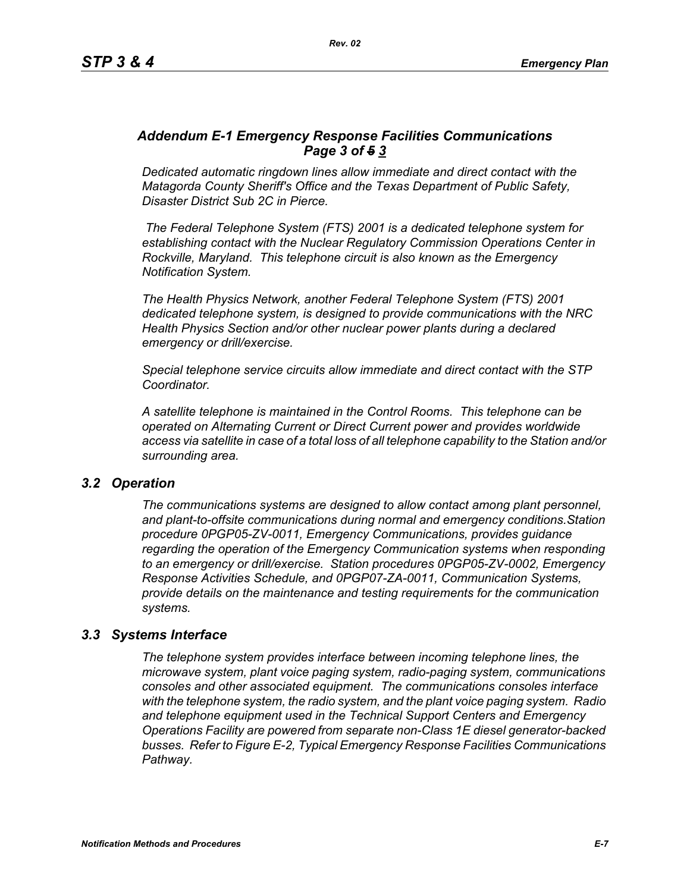# *Addendum E-1 Emergency Response Facilities Communications Page 3 of 5 3*

*Dedicated automatic ringdown lines allow immediate and direct contact with the Matagorda County Sheriff's Office and the Texas Department of Public Safety, Disaster District Sub 2C in Pierce.*

 *The Federal Telephone System (FTS) 2001 is a dedicated telephone system for establishing contact with the Nuclear Regulatory Commission Operations Center in Rockville, Maryland. This telephone circuit is also known as the Emergency Notification System.*

*The Health Physics Network, another Federal Telephone System (FTS) 2001 dedicated telephone system, is designed to provide communications with the NRC Health Physics Section and/or other nuclear power plants during a declared emergency or drill/exercise.*

*Special telephone service circuits allow immediate and direct contact with the STP Coordinator.*

*A satellite telephone is maintained in the Control Rooms. This telephone can be operated on Alternating Current or Direct Current power and provides worldwide access via satellite in case of a total loss of all telephone capability to the Station and/or surrounding area.*

### *3.2 Operation*

*The communications systems are designed to allow contact among plant personnel, and plant-to-offsite communications during normal and emergency conditions.Station procedure 0PGP05-ZV-0011, Emergency Communications, provides guidance regarding the operation of the Emergency Communication systems when responding to an emergency or drill/exercise. Station procedures 0PGP05-ZV-0002, Emergency Response Activities Schedule, and 0PGP07-ZA-0011, Communication Systems, provide details on the maintenance and testing requirements for the communication systems.*

### *3.3 Systems Interface*

*The telephone system provides interface between incoming telephone lines, the microwave system, plant voice paging system, radio-paging system, communications consoles and other associated equipment. The communications consoles interface with the telephone system, the radio system, and the plant voice paging system. Radio and telephone equipment used in the Technical Support Centers and Emergency Operations Facility are powered from separate non-Class 1E diesel generator-backed busses. Refer to Figure E-2, Typical Emergency Response Facilities Communications Pathway.*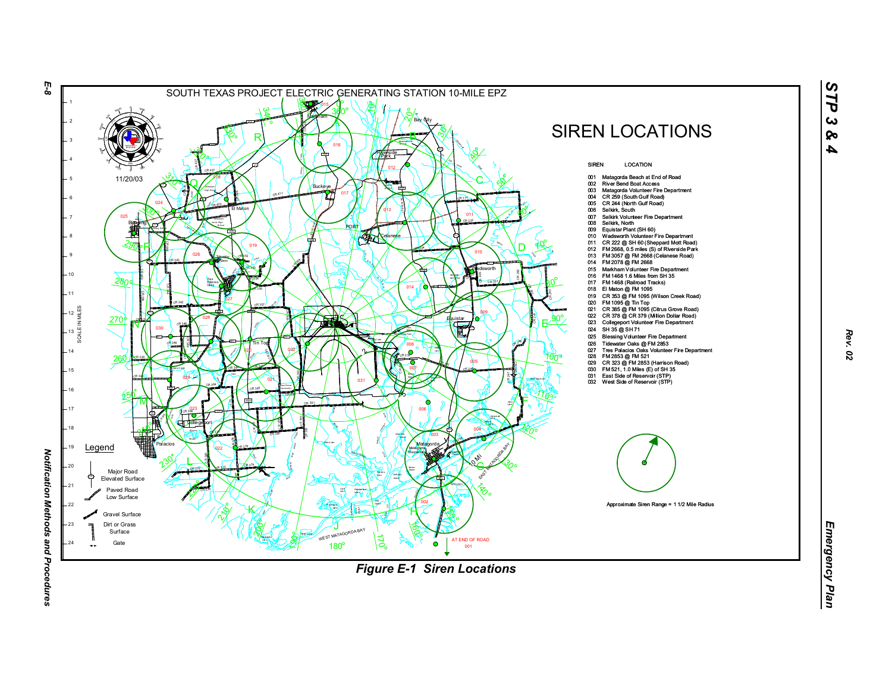

*STP 3 & 4*

*Rev. 02*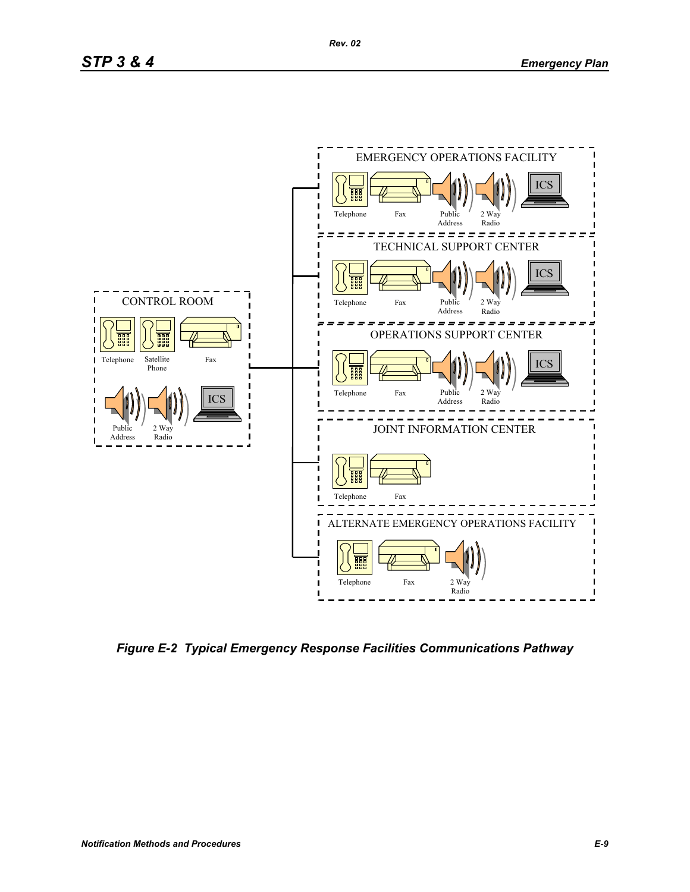

*Figure E-2 Typical Emergency Response Facilities Communications Pathway*